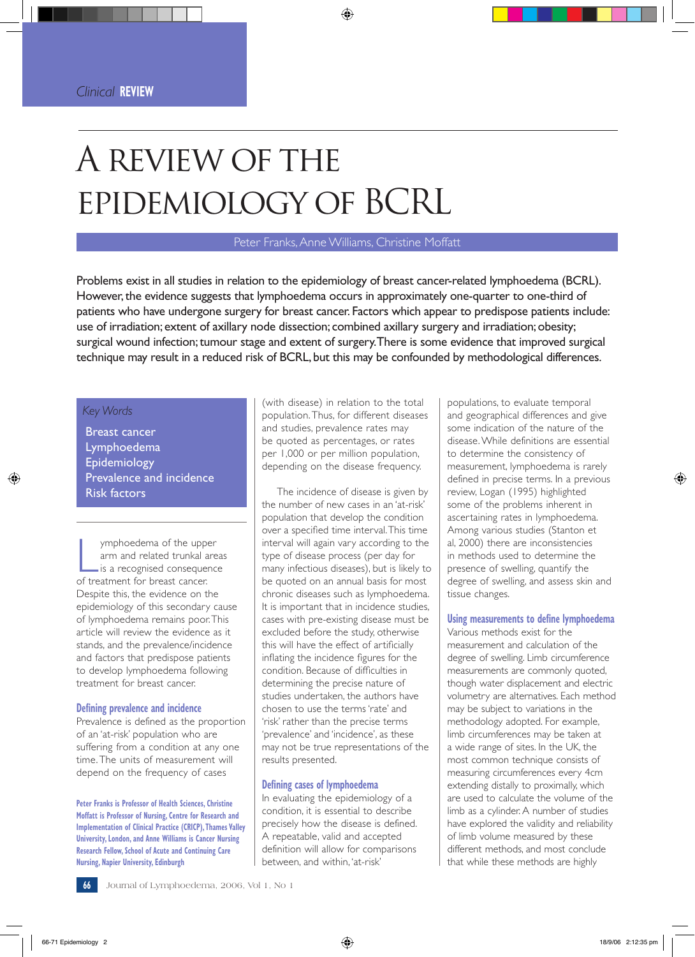# A review of the epidemiology of BCRL

## Peter Franks, Anne Williams, Christine Moffatt

Problems exist in all studies in relation to the epidemiology of breast cancer-related lymphoedema (BCRL). However, the evidence suggests that lymphoedema occurs in approximately one-quarter to one-third of patients who have undergone surgery for breast cancer. Factors which appear to predispose patients include: use of irradiation; extent of axillary node dissection; combined axillary surgery and irradiation; obesity; surgical wound infection; tumour stage and extent of surgery. There is some evidence that improved surgical technique may result in a reduced risk of BCRL, but this may be confounded by methodological differences.

## *Key Words*

Breast cancer Lymphoedema Epidemiology Prevalence and incidence Risk factors

Imphoedema of the upper<br>
arm and related trunkal a<br>
is a recognised consequer<br>
of treatment for breast cancer. ymphoedema of the upper arm and related trunkal areas is a recognised consequence Despite this, the evidence on the epidemiology of this secondary cause of lymphoedema remains poor. This article will review the evidence as it stands, and the prevalence/incidence and factors that predispose patients to develop lymphoedema following treatment for breast cancer.

#### **Defining prevalence and incidence**

Prevalence is defined as the proportion of an 'at-risk' population who are suffering from a condition at any one time. The units of measurement will depend on the frequency of cases

**Peter Franks is Professor of Health Sciences, Christine Moffatt is Professor of Nursing, Centre for Research and Implementation of Clinical Practice (CRICP), Thames Valley University, London, and Anne Williams is Cancer Nursing Research Fellow, School of Acute and Continuing Care Nursing, Napier University, Edinburgh**

(with disease) in relation to the total population. Thus, for different diseases and studies, prevalence rates may be quoted as percentages, or rates per 1,000 or per million population, depending on the disease frequency.

The incidence of disease is given by the number of new cases in an 'at-risk' population that develop the condition over a specified time interval. This time interval will again vary according to the type of disease process (per day for many infectious diseases), but is likely to be quoted on an annual basis for most chronic diseases such as lymphoedema. It is important that in incidence studies, cases with pre-existing disease must be excluded before the study, otherwise this will have the effect of artificially inflating the incidence figures for the condition. Because of difficulties in determining the precise nature of studies undertaken, the authors have chosen to use the terms 'rate' and 'risk' rather than the precise terms 'prevalence' and 'incidence', as these may not be true representations of the results presented.

#### **Defining cases of lymphoedema**

In evaluating the epidemiology of a condition, it is essential to describe precisely how the disease is defined. A repeatable, valid and accepted definition will allow for comparisons between, and within, 'at-risk'

populations, to evaluate temporal and geographical differences and give some indication of the nature of the disease. While definitions are essential to determine the consistency of measurement, lymphoedema is rarely defined in precise terms. In a previous review, Logan (1995) highlighted some of the problems inherent in ascertaining rates in lymphoedema. Among various studies (Stanton et al, 2000) there are inconsistencies in methods used to determine the presence of swelling, quantify the degree of swelling, and assess skin and tissue changes.

## **Using measurements to define lymphoedema**

Various methods exist for the measurement and calculation of the degree of swelling. Limb circumference measurements are commonly quoted, though water displacement and electric volumetry are alternatives. Each method may be subject to variations in the methodology adopted. For example, limb circumferences may be taken at a wide range of sites. In the UK, the most common technique consists of measuring circumferences every 4cm extending distally to proximally, which are used to calculate the volume of the limb as a cylinder. A number of studies have explored the validity and reliability of limb volume measured by these different methods, and most conclude that while these methods are highly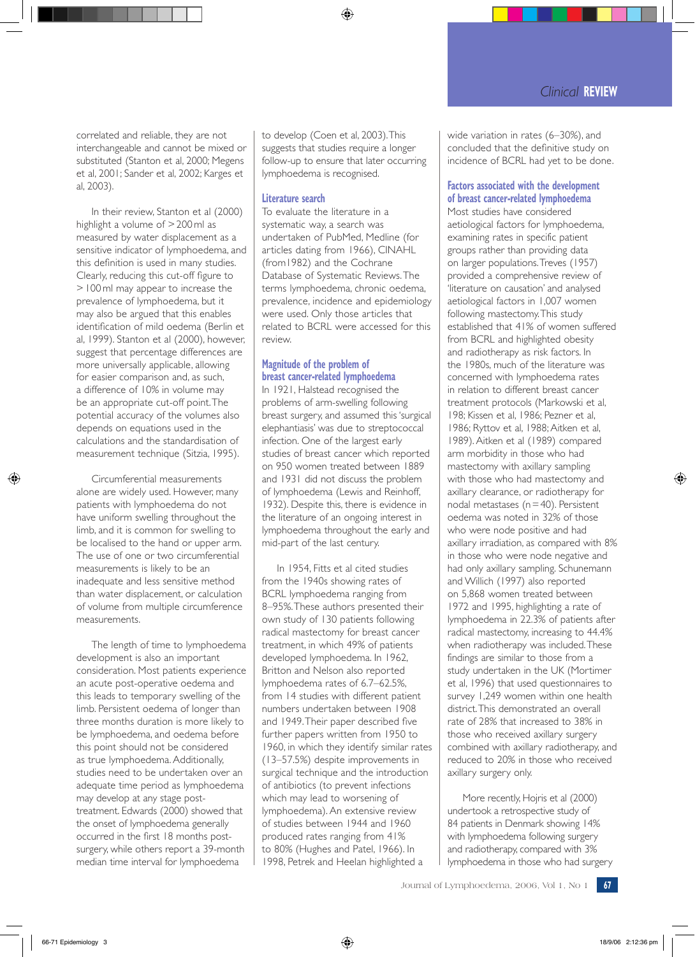correlated and reliable, they are not interchangeable and cannot be mixed or substituted (Stanton et al, 2000; Megens et al, 2001; Sander et al, 2002; Karges et al, 2003).

In their review, Stanton et al (2000) highlight a volume of > 200 ml as measured by water displacement as a sensitive indicator of lymphoedema, and this definition is used in many studies. Clearly, reducing this cut-off figure to > 100 ml may appear to increase the prevalence of lymphoedema, but it may also be argued that this enables identification of mild oedema (Berlin et al, 1999). Stanton et al (2000), however, suggest that percentage differences are more universally applicable, allowing for easier comparison and, as such, a difference of 10% in volume may be an appropriate cut-off point. The potential accuracy of the volumes also depends on equations used in the calculations and the standardisation of measurement technique (Sitzia, 1995).

Circumferential measurements alone are widely used. However, many patients with lymphoedema do not have uniform swelling throughout the limb, and it is common for swelling to be localised to the hand or upper arm. The use of one or two circumferential measurements is likely to be an inadequate and less sensitive method than water displacement, or calculation of volume from multiple circumference measurements.

The length of time to lymphoedema development is also an important consideration. Most patients experience an acute post-operative oedema and this leads to temporary swelling of the limb. Persistent oedema of longer than three months duration is more likely to be lymphoedema, and oedema before this point should not be considered as true lymphoedema. Additionally, studies need to be undertaken over an adequate time period as lymphoedema may develop at any stage posttreatment. Edwards (2000) showed that the onset of lymphoedema generally occurred in the first 18 months postsurgery, while others report a 39-month median time interval for lymphoedema

to develop (Coen et al, 2003). This suggests that studies require a longer follow-up to ensure that later occurring lymphoedema is recognised.

## **Literature search**

To evaluate the literature in a systematic way, a search was undertaken of PubMed, Medline (for articles dating from 1966), CINAHL (from1982) and the Cochrane Database of Systematic Reviews. The terms lymphoedema, chronic oedema, prevalence, incidence and epidemiology were used. Only those articles that related to BCRL were accessed for this review.

## **Magnitude of the problem of breast cancer-related lymphoedema**

In 1921, Halstead recognised the problems of arm-swelling following breast surgery, and assumed this 'surgical elephantiasis' was due to streptococcal infection. One of the largest early studies of breast cancer which reported on 950 women treated between 1889 and 1931 did not discuss the problem of lymphoedema (Lewis and Reinhoff, 1932). Despite this, there is evidence in the literature of an ongoing interest in lymphoedema throughout the early and mid-part of the last century.

In 1954, Fitts et al cited studies from the 1940s showing rates of BCRL lymphoedema ranging from 8–95%. These authors presented their own study of 130 patients following radical mastectomy for breast cancer treatment, in which 49% of patients developed lymphoedema. In 1962, Britton and Nelson also reported lymphoedema rates of 6.7–62.5%, from 14 studies with different patient numbers undertaken between 1908 and 1949. Their paper described five further papers written from 1950 to 1960, in which they identify similar rates (13–57.5%) despite improvements in surgical technique and the introduction of antibiotics (to prevent infections which may lead to worsening of lymphoedema). An extensive review of studies between 1944 and 1960 produced rates ranging from 41% to 80% (Hughes and Patel, 1966). In 1998, Petrek and Heelan highlighted a

wide variation in rates (6–30%), and concluded that the definitive study on incidence of BCRL had yet to be done.

# **Factors associated with the development of breast cancer-related lymphoedema**

Most studies have considered aetiological factors for lymphoedema, examining rates in specific patient groups rather than providing data on larger populations. Treves (1957) provided a comprehensive review of 'literature on causation' and analysed aetiological factors in 1,007 women following mastectomy. This study established that 41% of women suffered from BCRL and highlighted obesity and radiotherapy as risk factors. In the 1980s, much of the literature was concerned with lymphoedema rates in relation to different breast cancer treatment protocols (Markowski et al, 198; Kissen et al, 1986; Pezner et al, 1986; Ryttov et al, 1988; Aitken et al, 1989). Aitken et al (1989) compared arm morbidity in those who had mastectomy with axillary sampling with those who had mastectomy and axillary clearance, or radiotherapy for nodal metastases ( $n = 40$ ). Persistent oedema was noted in 32% of those who were node positive and had axillary irradiation, as compared with 8% in those who were node negative and had only axillary sampling. Schunemann and Willich (1997) also reported on 5,868 women treated between 1972 and 1995, highlighting a rate of lymphoedema in 22.3% of patients after radical mastectomy, increasing to 44.4% when radiotherapy was included. These findings are similar to those from a study undertaken in the UK (Mortimer et al, 1996) that used questionnaires to survey 1,249 women within one health district. This demonstrated an overall rate of 28% that increased to 38% in those who received axillary surgery combined with axillary radiotherapy, and reduced to 20% in those who received axillary surgery only.

More recently, Hojris et al (2000) undertook a retrospective study of 84 patients in Denmark showing 14% with lymphoedema following surgery and radiotherapy, compared with 3% lymphoedema in those who had surgery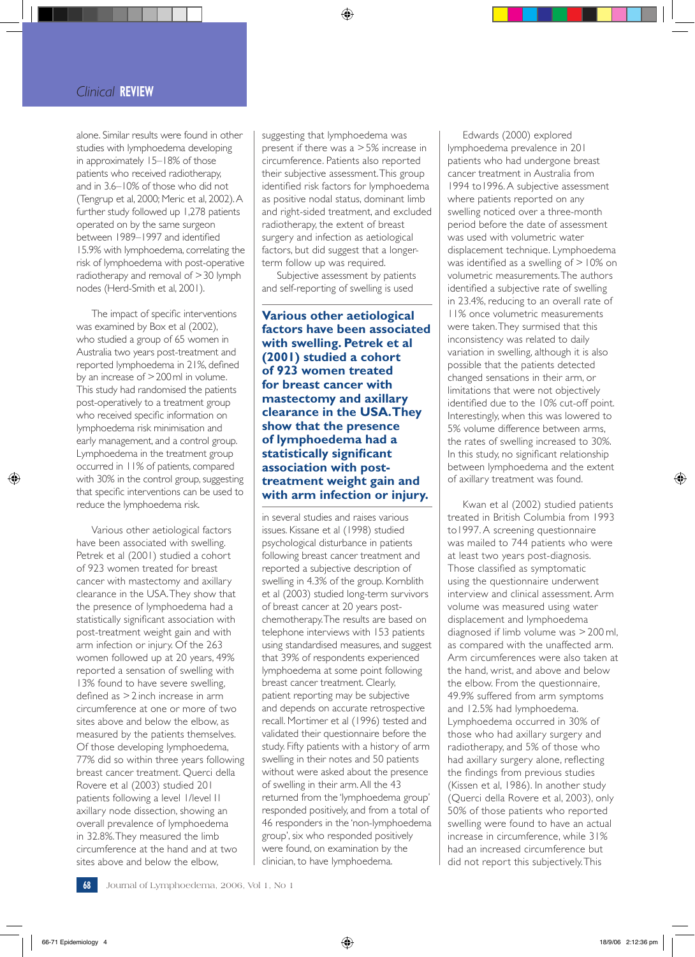# *Clinical* **REVIEW**

alone. Similar results were found in other studies with lymphoedema developing in approximately 15–18% of those patients who received radiotherapy, and in 3.6–10% of those who did not (Tengrup et al, 2000; Meric et al, 2002). A further study followed up 1,278 patients operated on by the same surgeon between 1989–1997 and identified 15.9% with lymphoedema, correlating the risk of lymphoedema with post-operative radiotherapy and removal of > 30 lymph nodes (Herd-Smith et al, 2001).

The impact of specific interventions was examined by Box et al (2002), who studied a group of 65 women in Australia two years post-treatment and reported lymphoedema in 21%, defined by an increase of > 200 ml in volume. This study had randomised the patients post-operatively to a treatment group who received specific information on lymphoedema risk minimisation and early management, and a control group. Lymphoedema in the treatment group occurred in 11% of patients, compared with 30% in the control group, suggesting that specific interventions can be used to reduce the lymphoedema risk.

Various other aetiological factors have been associated with swelling. Petrek et al (2001) studied a cohort of 923 women treated for breast cancer with mastectomy and axillary clearance in the USA. They show that the presence of lymphoedema had a statistically significant association with post-treatment weight gain and with arm infection or injury. Of the 263 women followed up at 20 years, 49% reported a sensation of swelling with 13% found to have severe swelling, defined as > 2 inch increase in arm circumference at one or more of two sites above and below the elbow, as measured by the patients themselves. Of those developing lymphoedema, 77% did so within three years following breast cancer treatment. Querci della Rovere et al (2003) studied 201 patients following a level 1/level I1 axillary node dissection, showing an overall prevalence of lymphoedema in 32.8%. They measured the limb circumference at the hand and at two sites above and below the elbow,

suggesting that lymphoedema was present if there was a > 5% increase in circumference. Patients also reported their subjective assessment. This group identified risk factors for lymphoedema as positive nodal status, dominant limb and right-sided treatment, and excluded radiotherapy, the extent of breast surgery and infection as aetiological factors, but did suggest that a longerterm follow up was required.

Subjective assessment by patients and self-reporting of swelling is used

**Various other aetiological factors have been associated with swelling. Petrek et al (2001) studied a cohort of 923 women treated for breast cancer with mastectomy and axillary clearance in the USA. They show that the presence of lymphoedema had a statistically significant association with posttreatment weight gain and with arm infection or injury.** 

in several studies and raises various issues. Kissane et al (1998) studied psychological disturbance in patients following breast cancer treatment and reported a subjective description of swelling in 4.3% of the group. Kornblith et al (2003) studied long-term survivors of breast cancer at 20 years postchemotherapy. The results are based on telephone interviews with 153 patients using standardised measures, and suggest that 39% of respondents experienced lymphoedema at some point following breast cancer treatment. Clearly, patient reporting may be subjective and depends on accurate retrospective recall. Mortimer et al (1996) tested and validated their questionnaire before the study. Fifty patients with a history of arm swelling in their notes and 50 patients without were asked about the presence of swelling in their arm. All the 43 returned from the 'lymphoedema group' responded positively, and from a total of 46 responders in the 'non-lymphoedema group', six who responded positively were found, on examination by the clinician, to have lymphoedema.

Edwards (2000) explored lymphoedema prevalence in 201 patients who had undergone breast cancer treatment in Australia from 1994 to1996. A subjective assessment where patients reported on any swelling noticed over a three-month period before the date of assessment was used with volumetric water displacement technique. Lymphoedema was identified as a swelling of > 10% on volumetric measurements. The authors identified a subjective rate of swelling in 23.4%, reducing to an overall rate of 11% once volumetric measurements were taken. They surmised that this inconsistency was related to daily variation in swelling, although it is also possible that the patients detected changed sensations in their arm, or limitations that were not objectively identified due to the 10% cut-off point. Interestingly, when this was lowered to 5% volume difference between arms, the rates of swelling increased to 30%. In this study, no significant relationship between lymphoedema and the extent of axillary treatment was found.

Kwan et al (2002) studied patients treated in British Columbia from 1993 to1997. A screening questionnaire was mailed to 744 patients who were at least two years post-diagnosis. Those classified as symptomatic using the questionnaire underwent interview and clinical assessment. Arm volume was measured using water displacement and lymphoedema diagnosed if limb volume was > 200 ml, as compared with the unaffected arm. Arm circumferences were also taken at the hand, wrist, and above and below the elbow. From the questionnaire, 49.9% suffered from arm symptoms and 12.5% had lymphoedema. Lymphoedema occurred in 30% of those who had axillary surgery and radiotherapy, and 5% of those who had axillary surgery alone, reflecting the findings from previous studies (Kissen et al, 1986). In another study (Querci della Rovere et al, 2003), only 50% of those patients who reported swelling were found to have an actual increase in circumference, while 31% had an increased circumference but did not report this subjectively. This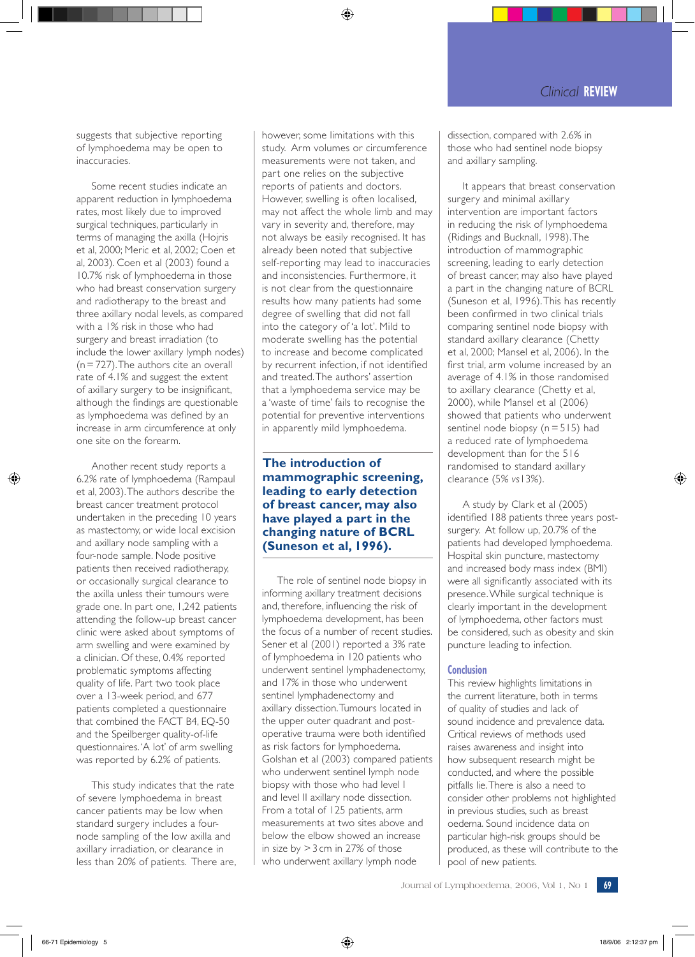suggests that subjective reporting of lymphoedema may be open to inaccuracies.

Some recent studies indicate an apparent reduction in lymphoedema rates, most likely due to improved surgical techniques, particularly in terms of managing the axilla (Hojris et al, 2000; Meric et al, 2002; Coen et al, 2003). Coen et al (2003) found a 10.7% risk of lymphoedema in those who had breast conservation surgery and radiotherapy to the breast and three axillary nodal levels, as compared with a 1% risk in those who had surgery and breast irradiation (to include the lower axillary lymph nodes) (n = 727). The authors cite an overall rate of 4.1% and suggest the extent of axillary surgery to be insignificant, although the findings are questionable as lymphoedema was defined by an increase in arm circumference at only one site on the forearm.

Another recent study reports a 6.2% rate of lymphoedema (Rampaul et al, 2003). The authors describe the breast cancer treatment protocol undertaken in the preceding 10 years as mastectomy, or wide local excision and axillary node sampling with a four-node sample. Node positive patients then received radiotherapy, or occasionally surgical clearance to the axilla unless their tumours were grade one. In part one, 1,242 patients attending the follow-up breast cancer clinic were asked about symptoms of arm swelling and were examined by a clinician. Of these, 0.4% reported problematic symptoms affecting quality of life. Part two took place over a 13-week period, and 677 patients completed a questionnaire that combined the FACT B4, EQ-50 and the Speilberger quality-of-life questionnaires. 'A lot' of arm swelling was reported by 6.2% of patients.

This study indicates that the rate of severe lymphoedema in breast cancer patients may be low when standard surgery includes a fournode sampling of the low axilla and axillary irradiation, or clearance in less than 20% of patients. There are,

however, some limitations with this study. Arm volumes or circumference measurements were not taken, and part one relies on the subjective reports of patients and doctors. However, swelling is often localised, may not affect the whole limb and may vary in severity and, therefore, may not always be easily recognised. It has already been noted that subjective self-reporting may lead to inaccuracies and inconsistencies. Furthermore, it is not clear from the questionnaire results how many patients had some degree of swelling that did not fall into the category of 'a lot'. Mild to moderate swelling has the potential to increase and become complicated by recurrent infection, if not identified and treated. The authors' assertion that a lymphoedema service may be a 'waste of time' fails to recognise the potential for preventive interventions in apparently mild lymphoedema.

# **The introduction of mammographic screening, leading to early detection of breast cancer, may also have played a part in the changing nature of BCRL (Suneson et al, 1996).**

The role of sentinel node biopsy in informing axillary treatment decisions and, therefore, influencing the risk of lymphoedema development, has been the focus of a number of recent studies. Sener et al (2001) reported a 3% rate of lymphoedema in 120 patients who underwent sentinel lymphadenectomy, and 17% in those who underwent sentinel lymphadenectomy and axillary dissection. Tumours located in the upper outer quadrant and postoperative trauma were both identified as risk factors for lymphoedema. Golshan et al (2003) compared patients who underwent sentinel lymph node biopsy with those who had level I and level II axillary node dissection. From a total of 125 patients, arm measurements at two sites above and below the elbow showed an increase in size by  $>$  3 cm in 27% of those who underwent axillary lymph node

dissection, compared with 2.6% in those who had sentinel node biopsy and axillary sampling.

It appears that breast conservation surgery and minimal axillary intervention are important factors in reducing the risk of lymphoedema (Ridings and Bucknall, 1998). The introduction of mammographic screening, leading to early detection of breast cancer, may also have played a part in the changing nature of BCRL (Suneson et al, 1996). This has recently been confirmed in two clinical trials comparing sentinel node biopsy with standard axillary clearance (Chetty et al, 2000; Mansel et al, 2006). In the first trial, arm volume increased by an average of 4.1% in those randomised to axillary clearance (Chetty et al, 2000), while Mansel et al (2006) showed that patients who underwent sentinel node biopsy  $(n = 515)$  had a reduced rate of lymphoedema development than for the 516 randomised to standard axillary clearance (5% *vs*13%).

A study by Clark et al (2005) identified 188 patients three years postsurgery. At follow up, 20.7% of the patients had developed lymphoedema. Hospital skin puncture, mastectomy and increased body mass index (BMI) were all significantly associated with its presence. While surgical technique is clearly important in the development of lymphoedema, other factors must be considered, such as obesity and skin puncture leading to infection.

## **Conclusion**

This review highlights limitations in the current literature, both in terms of quality of studies and lack of sound incidence and prevalence data. Critical reviews of methods used raises awareness and insight into how subsequent research might be conducted, and where the possible pitfalls lie. There is also a need to consider other problems not highlighted in previous studies, such as breast oedema. Sound incidence data on particular high-risk groups should be produced, as these will contribute to the pool of new patients.